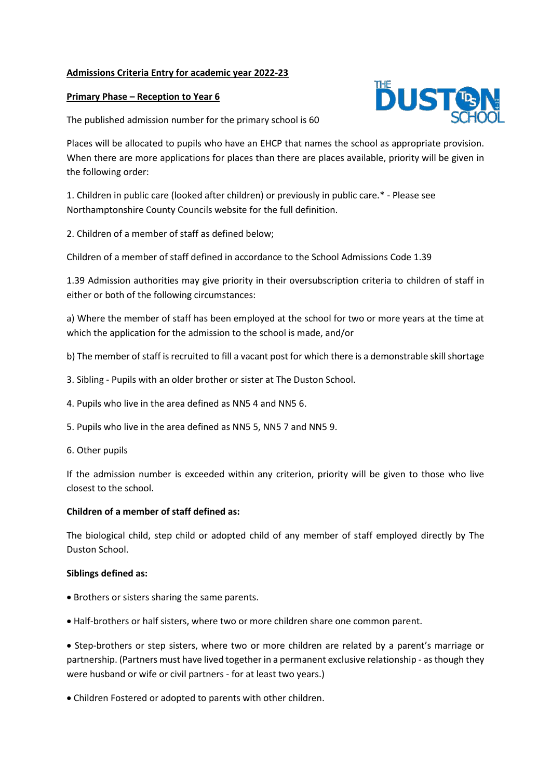## **Admissions Criteria Entry for academic year 2022-23**

## **Primary Phase – Reception to Year 6**

The published admission number for the primary school is 60

Places will be allocated to pupils who have an EHCP that names the school as appropriate provision. When there are more applications for places than there are places available, priority will be given in the following order:

1. Children in public care (looked after children) or previously in public care.\* - Please see Northamptonshire County Councils website for the full definition.

2. Children of a member of staff as defined below;

Children of a member of staff defined in accordance to the School Admissions Code 1.39

1.39 Admission authorities may give priority in their oversubscription criteria to children of staff in either or both of the following circumstances:

a) Where the member of staff has been employed at the school for two or more years at the time at which the application for the admission to the school is made, and/or

- b) The member of staff is recruited to fill a vacant post for which there is a demonstrable skill shortage
- 3. Sibling Pupils with an older brother or sister at The Duston School.
- 4. Pupils who live in the area defined as NN5 4 and NN5 6.
- 5. Pupils who live in the area defined as NN5 5, NN5 7 and NN5 9.
- 6. Other pupils

If the admission number is exceeded within any criterion, priority will be given to those who live closest to the school.

## **Children of a member of staff defined as:**

The biological child, step child or adopted child of any member of staff employed directly by The Duston School.

## **Siblings defined as:**

- Brothers or sisters sharing the same parents.
- Half-brothers or half sisters, where two or more children share one common parent.

 Step-brothers or step sisters, where two or more children are related by a parent's marriage or partnership. (Partners must have lived together in a permanent exclusive relationship - as though they were husband or wife or civil partners - for at least two years.)

Children Fostered or adopted to parents with other children.